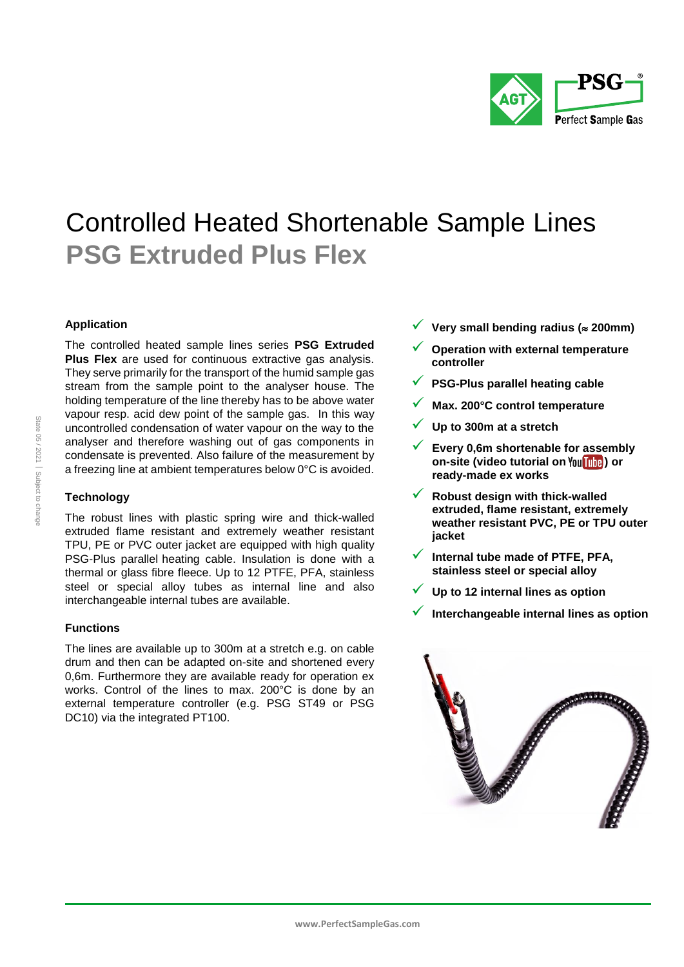

# Controlled Heated Shortenable Sample Lines **PSG Extruded Plus Flex**

# **Application**

The controlled heated sample lines series **PSG Extruded Plus Flex** are used for continuous extractive gas analysis. They serve primarily for the transport of the humid sample gas stream from the sample point to the analyser house. The holding temperature of the line thereby has to be above water vapour resp. acid dew point of the sample gas. In this way uncontrolled condensation of water vapour on the way to the analyser and therefore washing out of gas components in condensate is prevented. Also failure of the measurement by a freezing line at ambient temperatures below 0°C is avoided.

# **Technology**

The robust lines with plastic spring wire and thick-walled extruded flame resistant and extremely weather resistant TPU, PE or PVC outer jacket are equipped with high quality PSG-Plus parallel heating cable. Insulation is done with a thermal or glass fibre fleece. Up to 12 PTFE, PFA, stainless steel or special alloy tubes as internal line and also interchangeable internal tubes are available.

# **Functions**

The lines are available up to 300m at a stretch e.g. on cable drum and then can be adapted on-site and shortened every 0,6m. Furthermore they are available ready for operation ex works. Control of the lines to max. 200°C is done by an external temperature controller (e.g. PSG ST49 or PSG DC10) via the integrated PT100.

- **Very small bending radius ( 200mm)**
- **Operation with external temperature controller**
- **PSG-Plus parallel heating cable**
- **Max. 200°C control temperature**
- **Up to 300m at a stretch**
- **Every 0,6m shortenable for assembly on-site (video tutorial on) or ready-made ex works**
- **Robust design with thick-walled extruded, flame resistant, extremely weather resistant PVC, PE or TPU outer jacket**
- **Internal tube made of PTFE, PFA, stainless steel or special alloy**
- **Up to 12 internal lines as option**
- **Interchangeable internal lines as option**